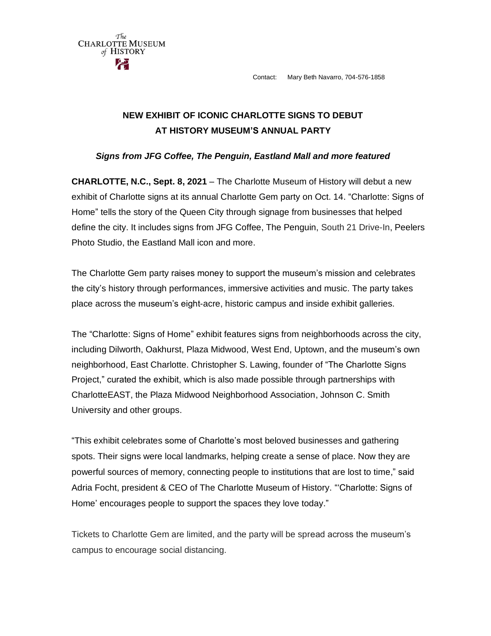Contact: Mary Beth Navarro, 704-576-1858



The **CHARLOTTE MUSEUM** of HISTORY

## *Signs from JFG Coffee, The Penguin, Eastland Mall and more featured*

**CHARLOTTE, N.C., Sept. 8, 2021** – The Charlotte Museum of History will debut a new exhibit of Charlotte signs at its annual Charlotte Gem party on Oct. 14. "Charlotte: Signs of Home" tells the story of the Queen City through signage from businesses that helped define the city. It includes signs from JFG Coffee, The Penguin, South 21 Drive-In, Peelers Photo Studio, the Eastland Mall icon and more.

The Charlotte Gem party raises money to support the museum's mission and celebrates the city's history through performances, immersive activities and music. The party takes place across the museum's eight-acre, historic campus and inside exhibit galleries.

The "Charlotte: Signs of Home" exhibit features signs from neighborhoods across the city, including Dilworth, Oakhurst, Plaza Midwood, West End, Uptown, and the museum's own neighborhood, East Charlotte. Christopher S. Lawing, founder of "The Charlotte Signs Project," curated the exhibit, which is also made possible through partnerships with CharlotteEAST, the Plaza Midwood Neighborhood Association, Johnson C. Smith University and other groups.

"This exhibit celebrates some of Charlotte's most beloved businesses and gathering spots. Their signs were local landmarks, helping create a sense of place. Now they are powerful sources of memory, connecting people to institutions that are lost to time," said Adria Focht, president & CEO of The Charlotte Museum of History. "'Charlotte: Signs of Home' encourages people to support the spaces they love today."

Tickets to Charlotte Gem are limited, and the party will be spread across the museum's campus to encourage social distancing.